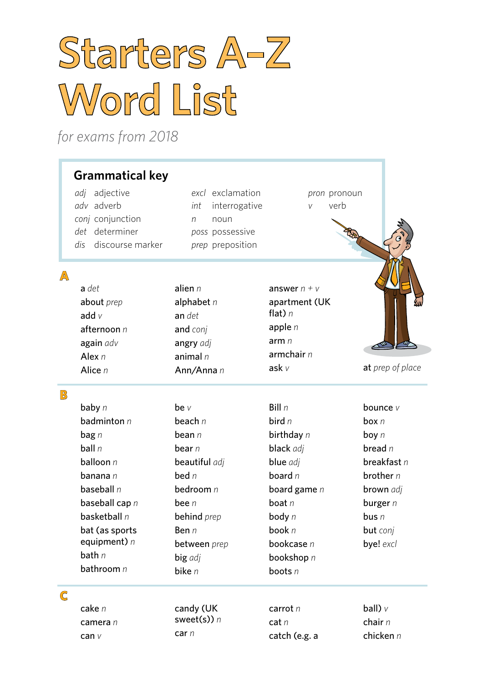# **Starters A–Z Word List**

*for exams from 2018*

## **Grammatical key**

*adj* adjective *adv* adverb *conj* conjunction *det* determiner *dis* discourse marker *excl* exclamation *int* interrogative *n* noun *poss* possessive *prep* preposition

*pron* pronoun *v* verb

**Room** 

chair *n* chicken *n*

### **A**

| $a$ det       | alien $n$    | answer $n + v$ |                  |
|---------------|--------------|----------------|------------------|
| about prep    | alphabet $n$ | apartment (UK  |                  |
| add $v$       | an det       | flat) $n$      |                  |
| afternoon $n$ | and conj     | apple $n$      |                  |
| again adv     | angry adj    | armn           |                  |
| Alex $n$      | animal $n$   | armchair $n$   |                  |
| Alice $n$     | Ann/Anna n   | ask $v$        | at prep of place |

#### **B**

| baby $n$           | be $\vee$           | Bill $n$       | bounce $V$       |
|--------------------|---------------------|----------------|------------------|
| badminton $n$      | beach $n$           | bird $n$       | box $n$          |
| $\mathbf{bag} \ n$ | bean $n$            | birthday n     | boy $n$          |
| ball $n$           | bear n              | black adj      | bread $n$        |
| balloon $n$        | beautiful adj       | blue adj       | breakfast $n$    |
| <b>banana</b> n    | bed $n$             | board $n$      | brother $n$      |
| baseball $n$       | bedroom $n$         | board game $n$ | <b>brown</b> adj |
| baseball cap $n$   | bee $n$             | boat $n$       | burger $n$       |
| basketball $n$     | behind prep         | body n         | bus <sub>n</sub> |
| bat (as sports     | Ben n               | book n         | <b>but</b> conj  |
| equipment) $n$     | <b>between</b> prep | bookcase n     | bye! excl        |
| bath $n$           | big adj             | bookshop n     |                  |
| bathroom $n$       | bike $n$            | boots $n$      |                  |
|                    |                     |                |                  |
|                    |                     |                |                  |
| cake n             | candy (UK           | carrot $n$     | ball) $\vee$     |

**C**

| cake n          | candy (UK     | carrot $n$    |
|-----------------|---------------|---------------|
| <b>camera</b> n | sweet(s)) $n$ | cat $n$       |
| can $\vee$      | car n         | catch (e.g. a |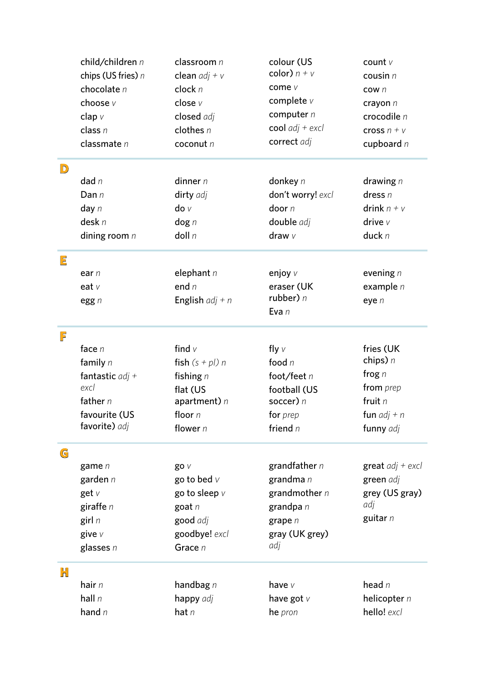|                         | child/children n                  | classroom n                | colour (US<br>color) $n + v$ | count $V$          |
|-------------------------|-----------------------------------|----------------------------|------------------------------|--------------------|
|                         | chips (US fries) n<br>chocolate n | clean $adj + v$<br>clock n | come v                       | cousin $n$         |
|                         |                                   |                            | complete v                   | cow n              |
|                         | choose v                          | close v                    | computer $n$                 | crayon $n$         |
|                         | clap $v$                          | closed adj                 | cool $adj + excl$            | crocodile $n$      |
|                         | class $n$                         | clothes $n$                | correct adj                  | cross $n + v$      |
|                         | classmate $n$                     | cocont n                   |                              | cupboard $n$       |
| $\overline{\mathsf{D}}$ |                                   |                            |                              |                    |
|                         | dad $n$                           | dinner $n$                 | donkey $n$                   | drawing $n$        |
|                         | Dan $n$                           | dirty adj                  | don't worry! excl            | dress $n$          |
|                         | day $n$                           | $\mathsf{do} \vee$         | door $n$                     | drink $n + v$      |
|                         | desk n                            | $\log n$                   | double adj                   | drive $V$          |
|                         | dining room $n$                   | $d$ oll n                  | draw $v$                     | duck $n$           |
| $\overline{\mathsf{E}}$ |                                   |                            |                              |                    |
|                         | ear $n$                           | elephant $n$               | enjoy v                      | evening $n$        |
|                         | eat $V$                           | end $n$                    | eraser (UK                   | example $n$        |
|                         | egg n                             | English $adj + n$          | rubber) $n$<br>Eva n         | eye $n$            |
| F                       |                                   |                            |                              |                    |
|                         | face $n$                          | find $v$                   | fly $\vee$                   | fries (UK          |
|                         | family $n$                        | fish $(s + pl)$ n          | food $n$                     | chips) $n$         |
|                         | fantastic $adj +$                 | fishing $n$                | foot/feet n                  | frog $n$           |
|                         | excl                              | flat (US                   | football (US                 | from prep          |
|                         | father $n$                        | apartment) $n$             | soccer) n                    | fruit $n$          |
|                         | favourite (US                     | floor n                    | for prep                     | fun $adj + n$      |
|                         | favorite) adj                     | flower $n$                 | friend $n$                   | funny adj          |
| G                       |                                   |                            |                              |                    |
|                         | game n                            | go v                       | grandfather $n$              | great $adj + excl$ |
|                         | garden $n$                        | go to bed $V$              | grandma n                    | green adj          |
|                         | get $V$                           | go to sleep $V$            | grandmother $n$              | grey (US gray)     |
|                         | giraffe $n$                       | goat $n$                   | grandpa $n$                  | adj                |
|                         | girl $n$                          | good adj                   | grape $n$                    | guitar n           |
|                         | give $V$                          | goodbye! excl              | gray (UK grey)               |                    |
|                         | glasses $n$                       | Grace n                    | adj                          |                    |
| Н                       |                                   |                            |                              |                    |
|                         | hair $n$                          | handbag $n$                | have v                       | head $n$           |
|                         | hall $n$                          | happy adj                  | have got $V$                 | helicopter n       |
|                         | hand $n$                          | hat $n$                    | he pron                      | hello! excl        |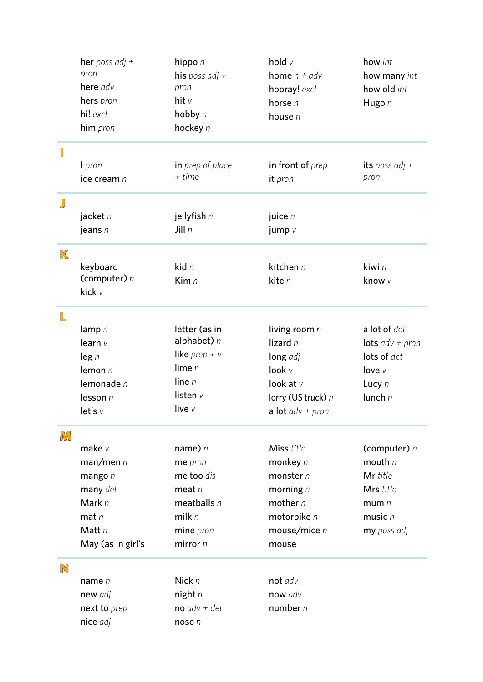| here adv<br>pron<br>how old int<br>hooray! excl<br>hit $v$<br>hers pron<br>horse $n$<br>Hugo n<br>hi! excl<br>hobby n<br>house $n$<br>hockey n<br>him pron<br>Ţ<br>in front of prep<br>its poss adj +<br>in prep of place<br>I pron<br>$+$ time<br>pron<br>ice cream n<br>it pron<br>J<br>jacket n<br>jellyfish n<br>juice $n$<br>Jill $n$<br>jeans $n$<br>jump $v$<br>$\mathbb K$<br>kid $n$<br>kitchen n<br>kiwi n<br>keyboard<br>(computer) $n$<br>Kim n<br>kite n<br>know v<br>kick v<br>L<br>letter (as in<br>a lot of det<br>living room $n$<br>lamp $n$<br>alphabet) $n$<br>lizard $n$<br>learn $v$<br>lots $adv + pron$<br>like prep + $v$<br>lots of det<br>$\log n$<br>long adj<br>lime $n$<br>look $V$<br>lemon $n$<br>love $V$<br>line $n$<br>lemonade n<br>look at $v$<br>Lucy n<br>listen $v$<br>lunch $n$<br>lesson n<br>lorry (US truck) n<br>live v<br>let's v<br>a lot $adv + pron$<br>IМ<br>name) $n$<br>make $v$<br>Miss title<br>(computer) $n$<br>mouth $n$<br>man/men n<br>monkey $n$<br>me pron<br>Mr title<br>me too dis<br>monster $n$<br>mango $n$<br>Mrs title<br>many det<br>morning $n$<br>meat $n$<br>Mark $n$<br>mother $n$<br>meatballs $n$<br>mum $n$<br>milk $n$<br>motorbike $n$<br>$mat$ $n$<br>music $n$<br>Matt $n$<br>mine pron<br>mouse/mice $n$<br>my poss adj<br>May (as in girl's<br>mirror $n$<br>mouse<br>N<br>Nick $n$<br>not adv<br>name $n$<br>night $n$<br>now adv<br>new adj<br>$no$ adv + det<br>number $n$<br>next to prep<br>nice adj<br>nose $n$ |  | her poss adj +<br>pron | hippo $n$<br>his poss adj + | hold v<br><b>home</b> $n + adv$ | how int<br>how many int |
|---------------------------------------------------------------------------------------------------------------------------------------------------------------------------------------------------------------------------------------------------------------------------------------------------------------------------------------------------------------------------------------------------------------------------------------------------------------------------------------------------------------------------------------------------------------------------------------------------------------------------------------------------------------------------------------------------------------------------------------------------------------------------------------------------------------------------------------------------------------------------------------------------------------------------------------------------------------------------------------------------------------------------------------------------------------------------------------------------------------------------------------------------------------------------------------------------------------------------------------------------------------------------------------------------------------------------------------------------------------------------------------------------------------------------------------------------------------------------------------------------------|--|------------------------|-----------------------------|---------------------------------|-------------------------|
|                                                                                                                                                                                                                                                                                                                                                                                                                                                                                                                                                                                                                                                                                                                                                                                                                                                                                                                                                                                                                                                                                                                                                                                                                                                                                                                                                                                                                                                                                                         |  |                        |                             |                                 |                         |
|                                                                                                                                                                                                                                                                                                                                                                                                                                                                                                                                                                                                                                                                                                                                                                                                                                                                                                                                                                                                                                                                                                                                                                                                                                                                                                                                                                                                                                                                                                         |  |                        |                             |                                 |                         |
|                                                                                                                                                                                                                                                                                                                                                                                                                                                                                                                                                                                                                                                                                                                                                                                                                                                                                                                                                                                                                                                                                                                                                                                                                                                                                                                                                                                                                                                                                                         |  |                        |                             |                                 |                         |
|                                                                                                                                                                                                                                                                                                                                                                                                                                                                                                                                                                                                                                                                                                                                                                                                                                                                                                                                                                                                                                                                                                                                                                                                                                                                                                                                                                                                                                                                                                         |  |                        |                             |                                 |                         |
|                                                                                                                                                                                                                                                                                                                                                                                                                                                                                                                                                                                                                                                                                                                                                                                                                                                                                                                                                                                                                                                                                                                                                                                                                                                                                                                                                                                                                                                                                                         |  |                        |                             |                                 |                         |
|                                                                                                                                                                                                                                                                                                                                                                                                                                                                                                                                                                                                                                                                                                                                                                                                                                                                                                                                                                                                                                                                                                                                                                                                                                                                                                                                                                                                                                                                                                         |  |                        |                             |                                 |                         |
|                                                                                                                                                                                                                                                                                                                                                                                                                                                                                                                                                                                                                                                                                                                                                                                                                                                                                                                                                                                                                                                                                                                                                                                                                                                                                                                                                                                                                                                                                                         |  |                        |                             |                                 |                         |
|                                                                                                                                                                                                                                                                                                                                                                                                                                                                                                                                                                                                                                                                                                                                                                                                                                                                                                                                                                                                                                                                                                                                                                                                                                                                                                                                                                                                                                                                                                         |  |                        |                             |                                 |                         |
|                                                                                                                                                                                                                                                                                                                                                                                                                                                                                                                                                                                                                                                                                                                                                                                                                                                                                                                                                                                                                                                                                                                                                                                                                                                                                                                                                                                                                                                                                                         |  |                        |                             |                                 |                         |
|                                                                                                                                                                                                                                                                                                                                                                                                                                                                                                                                                                                                                                                                                                                                                                                                                                                                                                                                                                                                                                                                                                                                                                                                                                                                                                                                                                                                                                                                                                         |  |                        |                             |                                 |                         |
|                                                                                                                                                                                                                                                                                                                                                                                                                                                                                                                                                                                                                                                                                                                                                                                                                                                                                                                                                                                                                                                                                                                                                                                                                                                                                                                                                                                                                                                                                                         |  |                        |                             |                                 |                         |
|                                                                                                                                                                                                                                                                                                                                                                                                                                                                                                                                                                                                                                                                                                                                                                                                                                                                                                                                                                                                                                                                                                                                                                                                                                                                                                                                                                                                                                                                                                         |  |                        |                             |                                 |                         |
|                                                                                                                                                                                                                                                                                                                                                                                                                                                                                                                                                                                                                                                                                                                                                                                                                                                                                                                                                                                                                                                                                                                                                                                                                                                                                                                                                                                                                                                                                                         |  |                        |                             |                                 |                         |
|                                                                                                                                                                                                                                                                                                                                                                                                                                                                                                                                                                                                                                                                                                                                                                                                                                                                                                                                                                                                                                                                                                                                                                                                                                                                                                                                                                                                                                                                                                         |  |                        |                             |                                 |                         |
|                                                                                                                                                                                                                                                                                                                                                                                                                                                                                                                                                                                                                                                                                                                                                                                                                                                                                                                                                                                                                                                                                                                                                                                                                                                                                                                                                                                                                                                                                                         |  |                        |                             |                                 |                         |
|                                                                                                                                                                                                                                                                                                                                                                                                                                                                                                                                                                                                                                                                                                                                                                                                                                                                                                                                                                                                                                                                                                                                                                                                                                                                                                                                                                                                                                                                                                         |  |                        |                             |                                 |                         |
|                                                                                                                                                                                                                                                                                                                                                                                                                                                                                                                                                                                                                                                                                                                                                                                                                                                                                                                                                                                                                                                                                                                                                                                                                                                                                                                                                                                                                                                                                                         |  |                        |                             |                                 |                         |
|                                                                                                                                                                                                                                                                                                                                                                                                                                                                                                                                                                                                                                                                                                                                                                                                                                                                                                                                                                                                                                                                                                                                                                                                                                                                                                                                                                                                                                                                                                         |  |                        |                             |                                 |                         |
|                                                                                                                                                                                                                                                                                                                                                                                                                                                                                                                                                                                                                                                                                                                                                                                                                                                                                                                                                                                                                                                                                                                                                                                                                                                                                                                                                                                                                                                                                                         |  |                        |                             |                                 |                         |
|                                                                                                                                                                                                                                                                                                                                                                                                                                                                                                                                                                                                                                                                                                                                                                                                                                                                                                                                                                                                                                                                                                                                                                                                                                                                                                                                                                                                                                                                                                         |  |                        |                             |                                 |                         |
|                                                                                                                                                                                                                                                                                                                                                                                                                                                                                                                                                                                                                                                                                                                                                                                                                                                                                                                                                                                                                                                                                                                                                                                                                                                                                                                                                                                                                                                                                                         |  |                        |                             |                                 |                         |
|                                                                                                                                                                                                                                                                                                                                                                                                                                                                                                                                                                                                                                                                                                                                                                                                                                                                                                                                                                                                                                                                                                                                                                                                                                                                                                                                                                                                                                                                                                         |  |                        |                             |                                 |                         |
|                                                                                                                                                                                                                                                                                                                                                                                                                                                                                                                                                                                                                                                                                                                                                                                                                                                                                                                                                                                                                                                                                                                                                                                                                                                                                                                                                                                                                                                                                                         |  |                        |                             |                                 |                         |
|                                                                                                                                                                                                                                                                                                                                                                                                                                                                                                                                                                                                                                                                                                                                                                                                                                                                                                                                                                                                                                                                                                                                                                                                                                                                                                                                                                                                                                                                                                         |  |                        |                             |                                 |                         |
|                                                                                                                                                                                                                                                                                                                                                                                                                                                                                                                                                                                                                                                                                                                                                                                                                                                                                                                                                                                                                                                                                                                                                                                                                                                                                                                                                                                                                                                                                                         |  |                        |                             |                                 |                         |
|                                                                                                                                                                                                                                                                                                                                                                                                                                                                                                                                                                                                                                                                                                                                                                                                                                                                                                                                                                                                                                                                                                                                                                                                                                                                                                                                                                                                                                                                                                         |  |                        |                             |                                 |                         |
|                                                                                                                                                                                                                                                                                                                                                                                                                                                                                                                                                                                                                                                                                                                                                                                                                                                                                                                                                                                                                                                                                                                                                                                                                                                                                                                                                                                                                                                                                                         |  |                        |                             |                                 |                         |
|                                                                                                                                                                                                                                                                                                                                                                                                                                                                                                                                                                                                                                                                                                                                                                                                                                                                                                                                                                                                                                                                                                                                                                                                                                                                                                                                                                                                                                                                                                         |  |                        |                             |                                 |                         |
|                                                                                                                                                                                                                                                                                                                                                                                                                                                                                                                                                                                                                                                                                                                                                                                                                                                                                                                                                                                                                                                                                                                                                                                                                                                                                                                                                                                                                                                                                                         |  |                        |                             |                                 |                         |
|                                                                                                                                                                                                                                                                                                                                                                                                                                                                                                                                                                                                                                                                                                                                                                                                                                                                                                                                                                                                                                                                                                                                                                                                                                                                                                                                                                                                                                                                                                         |  |                        |                             |                                 |                         |
|                                                                                                                                                                                                                                                                                                                                                                                                                                                                                                                                                                                                                                                                                                                                                                                                                                                                                                                                                                                                                                                                                                                                                                                                                                                                                                                                                                                                                                                                                                         |  |                        |                             |                                 |                         |
|                                                                                                                                                                                                                                                                                                                                                                                                                                                                                                                                                                                                                                                                                                                                                                                                                                                                                                                                                                                                                                                                                                                                                                                                                                                                                                                                                                                                                                                                                                         |  |                        |                             |                                 |                         |
|                                                                                                                                                                                                                                                                                                                                                                                                                                                                                                                                                                                                                                                                                                                                                                                                                                                                                                                                                                                                                                                                                                                                                                                                                                                                                                                                                                                                                                                                                                         |  |                        |                             |                                 |                         |
|                                                                                                                                                                                                                                                                                                                                                                                                                                                                                                                                                                                                                                                                                                                                                                                                                                                                                                                                                                                                                                                                                                                                                                                                                                                                                                                                                                                                                                                                                                         |  |                        |                             |                                 |                         |
|                                                                                                                                                                                                                                                                                                                                                                                                                                                                                                                                                                                                                                                                                                                                                                                                                                                                                                                                                                                                                                                                                                                                                                                                                                                                                                                                                                                                                                                                                                         |  |                        |                             |                                 |                         |
|                                                                                                                                                                                                                                                                                                                                                                                                                                                                                                                                                                                                                                                                                                                                                                                                                                                                                                                                                                                                                                                                                                                                                                                                                                                                                                                                                                                                                                                                                                         |  |                        |                             |                                 |                         |
|                                                                                                                                                                                                                                                                                                                                                                                                                                                                                                                                                                                                                                                                                                                                                                                                                                                                                                                                                                                                                                                                                                                                                                                                                                                                                                                                                                                                                                                                                                         |  |                        |                             |                                 |                         |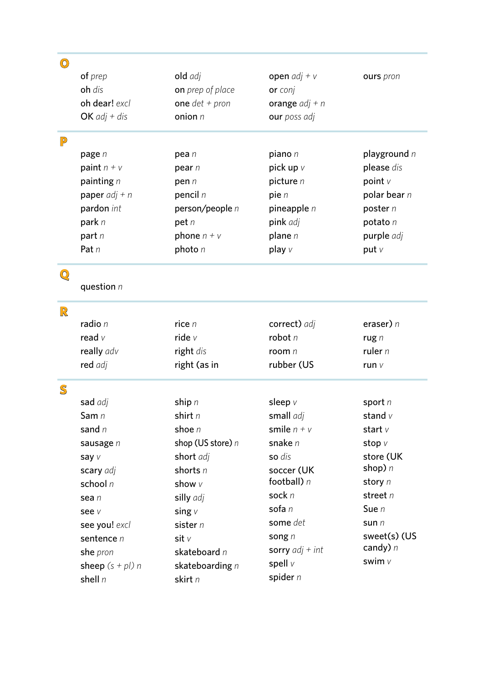| $\bigcirc$                        |                    |                   |                   |                |
|-----------------------------------|--------------------|-------------------|-------------------|----------------|
|                                   | of prep            | old adj           | open $adj + v$    | ours pron      |
|                                   | oh dis             | on prep of place  | or conj           |                |
|                                   | oh dear! excl      | one $det + pron$  | orange $adj + n$  |                |
|                                   | OK $adj + dis$     | onion $n$         | our poss adj      |                |
| $\mathbb{P}$                      |                    |                   |                   |                |
|                                   | page n             | pea n             | piano $n$         | playground $n$ |
|                                   | paint $n + v$      | pear $n$          | pick up $\vee$    | please dis     |
|                                   | painting $n$       | pen n             | picture $n$       | point $V$      |
|                                   | paper $adj + n$    | pencil $n$        | pie $n$           | polar bear $n$ |
|                                   | pardon int         | person/people n   | pineapple $n$     | poster n       |
|                                   | park n             | pet $n$           | pink adj          | potato $n$     |
|                                   | part $n$           | phone $n + v$     | plane $n$         | purple adj     |
|                                   | Pat $n$            | photo $n$         | play $\vee$       | put $V$        |
| $\mathbb{Q}$                      |                    |                   |                   |                |
|                                   | question $n$       |                   |                   |                |
| $\mathbb{R}$                      |                    |                   |                   |                |
|                                   | radio n            | rice $n$          | correct) adj      | eraser) $n$    |
|                                   | read $v$           | ride $v$          | robot $n$         | rug $n$        |
|                                   | really adv         | right dis         | room $n$          | ruler $n$      |
|                                   | red adj            | right (as in      | rubber (US        | run v          |
| $\mathbb{S}% _{t}\left( t\right)$ |                    |                   |                   |                |
|                                   | sad adj            | ship $n$          | sleep $V$         | sport $n$      |
|                                   | Sam n              | shirt n           | small adj         | stand $v$      |
|                                   | sand $n$           | shoe $n$          | smile $n + v$     | start $v$      |
|                                   | sausage n          | shop (US store) n | snake n           | stop v         |
|                                   | say v              | short adj         | so dis            | store (UK      |
|                                   | scary adj          | shorts $n$        | soccer (UK        | shop) $n$      |
|                                   | school n           | show v            | football) $n$     | story n        |
|                                   | sea n              | silly adj         | sock n            | street $n$     |
|                                   | see v              | sing $V$          | sofa n            | Sue $n$        |
|                                   | see you! excl      | sister n          | some det          | sun $n$        |
|                                   | sentence n         | sit v             | song $n$          | sweet(s) (US   |
|                                   | she pron           | skateboard n      | sorry $adj + int$ | candy) $n$     |
|                                   | sheep $(s + pl)$ n | skateboarding n   | spell v           | swim v         |
|                                   | shell n            | skirt n           | spider $n$        |                |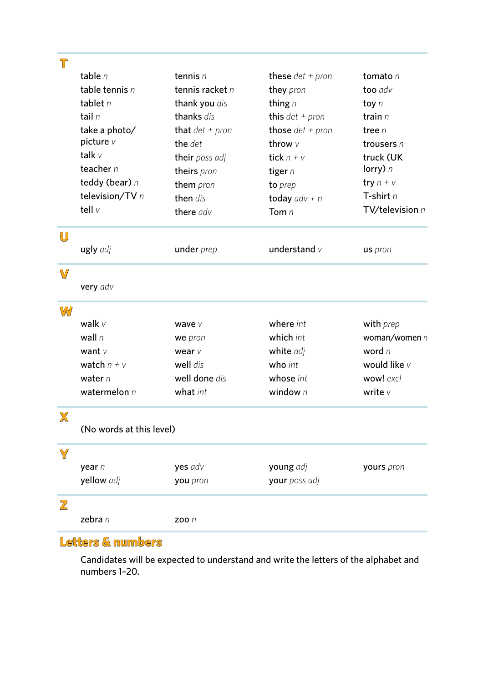| $\mathbb T$ |                          |                     |                    |                 |
|-------------|--------------------------|---------------------|--------------------|-----------------|
|             | table $n$                | tennis $n$          | these $det + pron$ | tomato $n$      |
|             | table tennis $n$         | tennis racket $n$   | they pron          | too adv         |
|             | tablet $n$               | thank you dis       | thing $n$          | toy $n$         |
|             | tail $n$                 | thanks dis          | this $det + pron$  | train $n$       |
|             | take a photo/            | that $det + pron$   | those $det + pron$ | tree $n$        |
|             | picture v                | the det             | throw $V$          | trousers $n$    |
|             | talk $v$                 | their poss adj      | tick $n + v$       | truck (UK       |
|             | teacher $n$              | theirs pron         | tiger $n$          | lorry) $n$      |
|             | teddy (bear) n           | them pron           | to prep            | try $n + v$     |
|             | television/TV n          | then dis            | today $adv + n$    | T-shirt $n$     |
|             | tell v                   | there adv           | Tom $n$            | TV/television n |
| $\bigcup$   |                          |                     |                    |                 |
|             | ugly adj                 | under prep          | understand $v$     | us pron         |
| $\mathbb V$ |                          |                     |                    |                 |
|             | very adv                 |                     |                    |                 |
| W           |                          |                     |                    |                 |
|             | walk $v$                 | wave v              | where int          | with prep       |
|             | wall $n$                 | we pron             | which int          | woman/women n   |
|             | want $V$                 | wear $V$            | white adj          | word n          |
|             | watch $n + v$            | well dis            | who int            | would like v    |
|             | water $n$                | well done dis       | whose int          | wow! excl       |
|             | watermelon $n$           | what int            | window $n$         | write v         |
| $\mathbb X$ |                          |                     |                    |                 |
|             | (No words at this level) |                     |                    |                 |
| Y           |                          |                     |                    |                 |
|             | year n                   | yes adv             | young adj          | yours pron      |
|             | yellow adj               | you pron            | your poss adj      |                 |
| Z           |                          |                     |                    |                 |
|             | zebra n                  | <b>ZOO</b> <i>n</i> |                    |                 |

## **Letters & numbers**

Candidates will be expected to understand and write the letters of the alphabet and numbers 1–20.